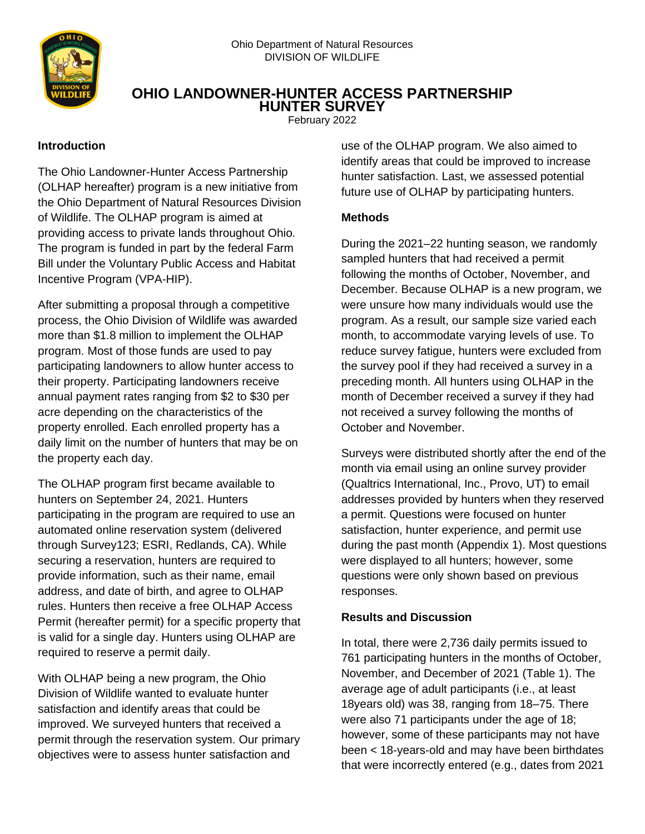

# **OHIO LANDOWNER-HUNTER ACCESS PARTNERSHIP HUNTER SURVEY**

February 2022

#### **Introduction**

The Ohio Landowner-Hunter Access Partnership (OLHAP hereafter) program is a new initiative from the Ohio Department of Natural Resources Division of Wildlife. The OLHAP program is aimed at providing access to private lands throughout Ohio. The program is funded in part by the federal Farm Bill under the Voluntary Public Access and Habitat Incentive Program (VPA-HIP).

After submitting a proposal through a competitive process, the Ohio Division of Wildlife was awarded more than \$1.8 million to implement the OLHAP program. Most of those funds are used to pay participating landowners to allow hunter access to their property. Participating landowners receive annual payment rates ranging from \$2 to \$30 per acre depending on the characteristics of the property enrolled. Each enrolled property has a daily limit on the number of hunters that may be on the property each day.

The OLHAP program first became available to hunters on September 24, 2021. Hunters participating in the program are required to use an automated online reservation system (delivered through Survey123; ESRI, Redlands, CA). While securing a reservation, hunters are required to provide information, such as their name, email address, and date of birth, and agree to OLHAP rules. Hunters then receive a free OLHAP Access Permit (hereafter permit) for a specific property that is valid for a single day. Hunters using OLHAP are required to reserve a permit daily.

With OLHAP being a new program, the Ohio Division of Wildlife wanted to evaluate hunter satisfaction and identify areas that could be improved. We surveyed hunters that received a permit through the reservation system. Our primary objectives were to assess hunter satisfaction and

use of the OLHAP program. We also aimed to identify areas that could be improved to increase hunter satisfaction. Last, we assessed potential future use of OLHAP by participating hunters.

### **Methods**

During the 2021–22 hunting season, we randomly sampled hunters that had received a permit following the months of October, November, and December. Because OLHAP is a new program, we were unsure how many individuals would use the program. As a result, our sample size varied each month, to accommodate varying levels of use. To reduce survey fatigue, hunters were excluded from the survey pool if they had received a survey in a preceding month. All hunters using OLHAP in the month of December received a survey if they had not received a survey following the months of October and November.

Surveys were distributed shortly after the end of the month via email using an online survey provider (Qualtrics International, Inc., Provo, UT) to email addresses provided by hunters when they reserved a permit. Questions were focused on hunter satisfaction, hunter experience, and permit use during the past month (Appendix 1). Most questions were displayed to all hunters; however, some questions were only shown based on previous responses.

## **Results and Discussion**

In total, there were 2,736 daily permits issued to 761 participating hunters in the months of October, November, and December of 2021 (Table 1). The average age of adult participants (i.e., at least 18years old) was 38, ranging from 18–75. There were also 71 participants under the age of 18; however, some of these participants may not have been < 18-years-old and may have been birthdates that were incorrectly entered (e.g., dates from 2021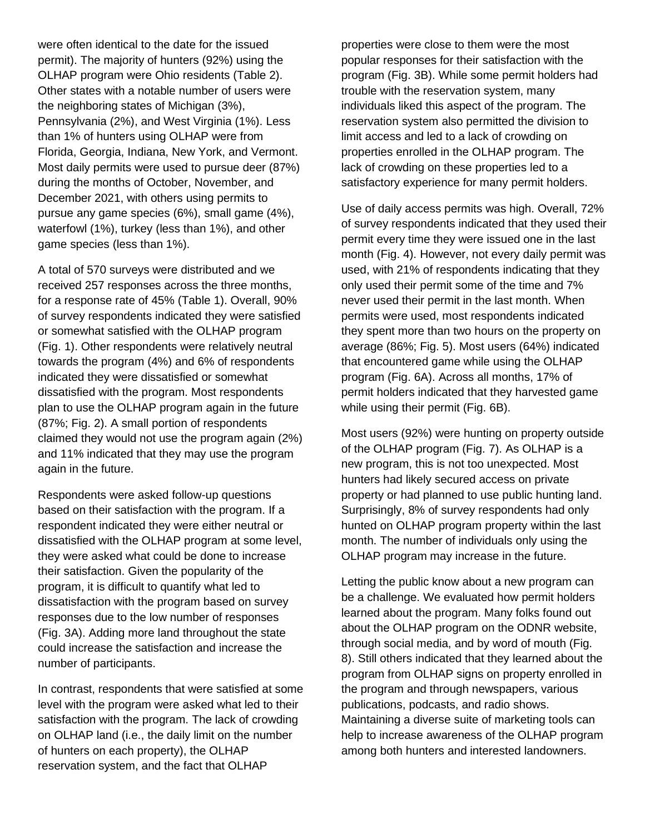were often identical to the date for the issued permit). The majority of hunters (92%) using the OLHAP program were Ohio residents (Table 2). Other states with a notable number of users were the neighboring states of Michigan (3%), Pennsylvania (2%), and West Virginia (1%). Less than 1% of hunters using OLHAP were from Florida, Georgia, Indiana, New York, and Vermont. Most daily permits were used to pursue deer (87%) during the months of October, November, and December 2021, with others using permits to pursue any game species (6%), small game (4%), waterfowl (1%), turkey (less than 1%), and other game species (less than 1%).

A total of 570 surveys were distributed and we received 257 responses across the three months, for a response rate of 45% (Table 1). Overall, 90% of survey respondents indicated they were satisfied or somewhat satisfied with the OLHAP program (Fig. 1). Other respondents were relatively neutral towards the program (4%) and 6% of respondents indicated they were dissatisfied or somewhat dissatisfied with the program. Most respondents plan to use the OLHAP program again in the future (87%; Fig. 2). A small portion of respondents claimed they would not use the program again (2%) and 11% indicated that they may use the program again in the future.

Respondents were asked follow-up questions based on their satisfaction with the program. If a respondent indicated they were either neutral or dissatisfied with the OLHAP program at some level, they were asked what could be done to increase their satisfaction. Given the popularity of the program, it is difficult to quantify what led to dissatisfaction with the program based on survey responses due to the low number of responses (Fig. 3A). Adding more land throughout the state could increase the satisfaction and increase the number of participants.

In contrast, respondents that were satisfied at some level with the program were asked what led to their satisfaction with the program. The lack of crowding on OLHAP land (i.e., the daily limit on the number of hunters on each property), the OLHAP reservation system, and the fact that OLHAP

properties were close to them were the most popular responses for their satisfaction with the program (Fig. 3B). While some permit holders had trouble with the reservation system, many individuals liked this aspect of the program. The reservation system also permitted the division to limit access and led to a lack of crowding on properties enrolled in the OLHAP program. The lack of crowding on these properties led to a satisfactory experience for many permit holders.

Use of daily access permits was high. Overall, 72% of survey respondents indicated that they used their permit every time they were issued one in the last month (Fig. 4). However, not every daily permit was used, with 21% of respondents indicating that they only used their permit some of the time and 7% never used their permit in the last month. When permits were used, most respondents indicated they spent more than two hours on the property on average (86%; Fig. 5). Most users (64%) indicated that encountered game while using the OLHAP program (Fig. 6A). Across all months, 17% of permit holders indicated that they harvested game while using their permit (Fig. 6B).

Most users (92%) were hunting on property outside of the OLHAP program (Fig. 7). As OLHAP is a new program, this is not too unexpected. Most hunters had likely secured access on private property or had planned to use public hunting land. Surprisingly, 8% of survey respondents had only hunted on OLHAP program property within the last month. The number of individuals only using the OLHAP program may increase in the future.

Letting the public know about a new program can be a challenge. We evaluated how permit holders learned about the program. Many folks found out about the OLHAP program on the ODNR website, through social media, and by word of mouth (Fig. 8). Still others indicated that they learned about the program from OLHAP signs on property enrolled in the program and through newspapers, various publications, podcasts, and radio shows. Maintaining a diverse suite of marketing tools can help to increase awareness of the OLHAP program among both hunters and interested landowners.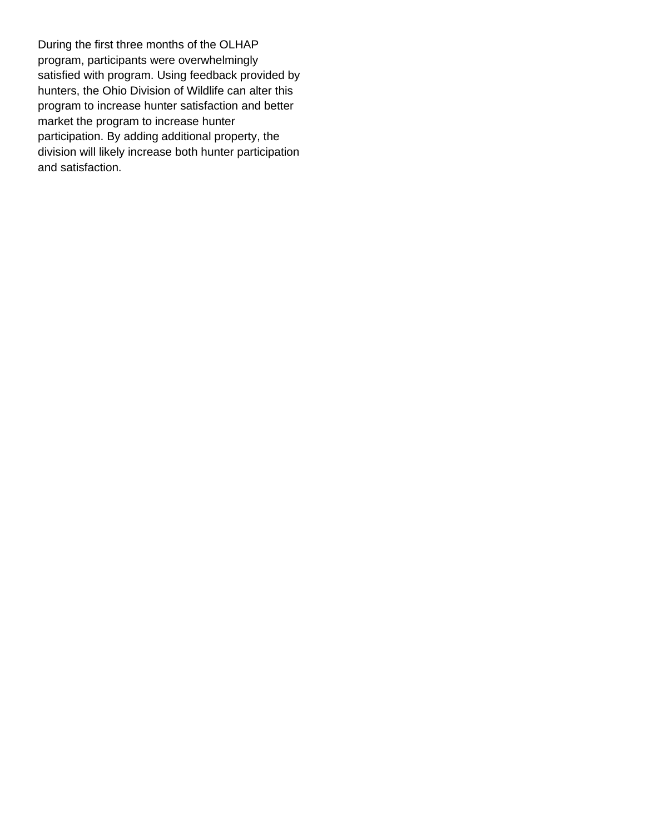During the first three months of the OLHAP program, participants were overwhelmingly satisfied with program. Using feedback provided by hunters, the Ohio Division of Wildlife can alter this program to increase hunter satisfaction and better market the program to increase hunter participation. By adding additional property, the division will likely increase both hunter participation and satisfaction.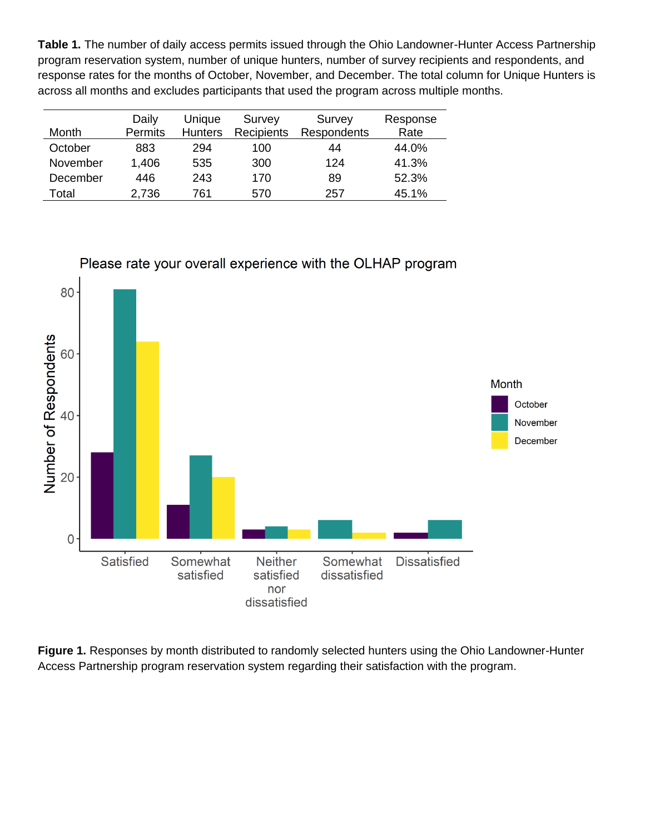**Table 1.** The number of daily access permits issued through the Ohio Landowner-Hunter Access Partnership program reservation system, number of unique hunters, number of survey recipients and respondents, and response rates for the months of October, November, and December. The total column for Unique Hunters is across all months and excludes participants that used the program across multiple months.

|          | Daily   | Unique         | Survey            | Survey      | Response |
|----------|---------|----------------|-------------------|-------------|----------|
| Month    | Permits | <b>Hunters</b> | <b>Recipients</b> | Respondents | Rate     |
| October  | 883     | 294            | 100               | 44          | 44.0%    |
| November | 1,406   | 535            | 300               | 124         | 41.3%    |
| December | 446     | 243            | 170               | 89          | 52.3%    |
| Total    | 2,736   | 761            | 570               | 257         | 45.1%    |



**Figure 1.** Responses by month distributed to randomly selected hunters using the Ohio Landowner-Hunter Access Partnership program reservation system regarding their satisfaction with the program.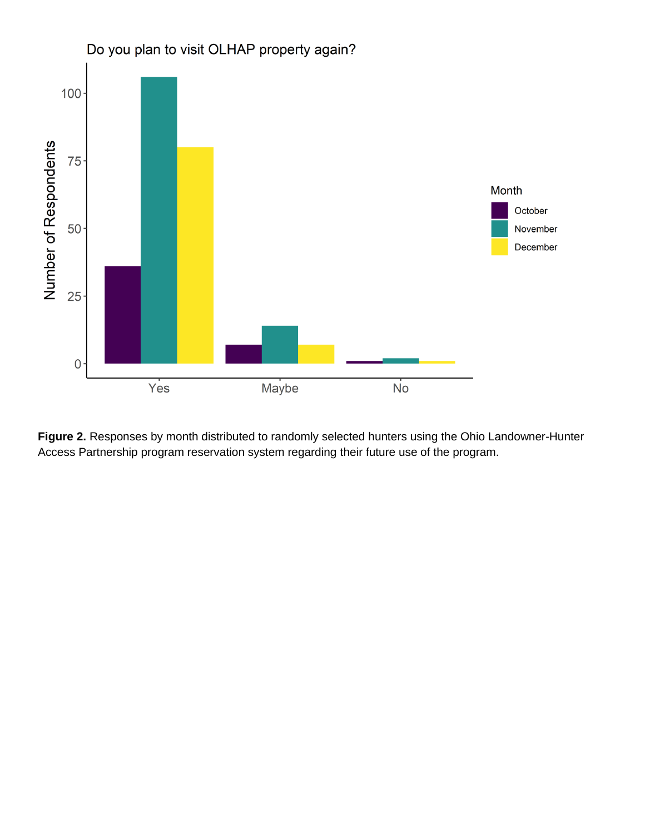

**Figure 2.** Responses by month distributed to randomly selected hunters using the Ohio Landowner-Hunter Access Partnership program reservation system regarding their future use of the program.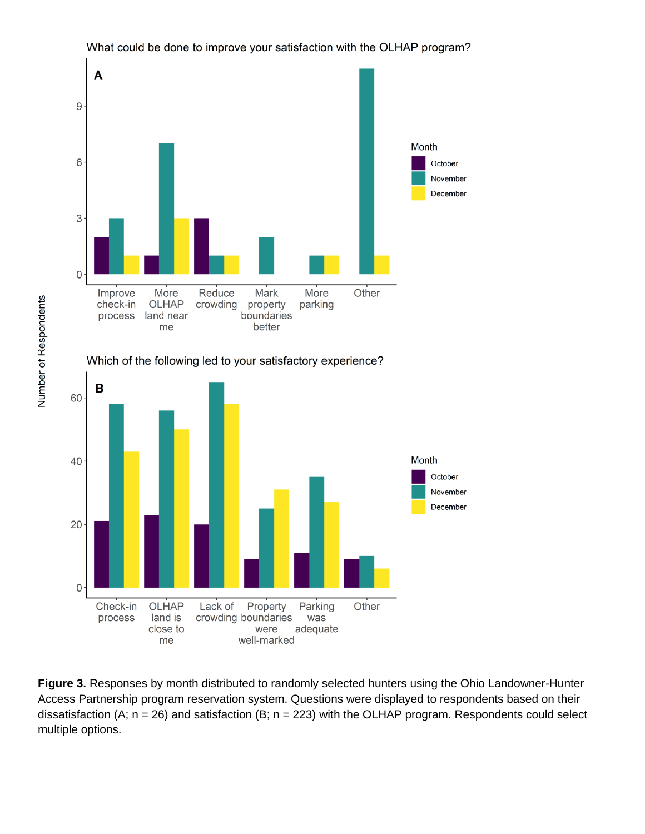

well-marked me

**Figure 3.** Responses by month distributed to randomly selected hunters using the Ohio Landowner-Hunter Access Partnership program reservation system. Questions were displayed to respondents based on their dissatisfaction (A;  $n = 26$ ) and satisfaction (B;  $n = 223$ ) with the OLHAP program. Respondents could select multiple options.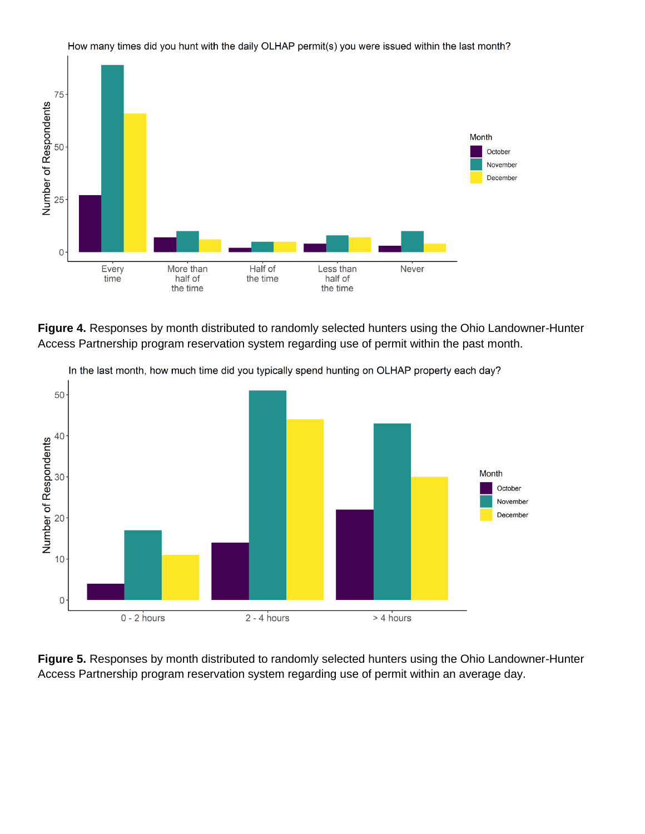

**Figure 4.** Responses by month distributed to randomly selected hunters using the Ohio Landowner-Hunter Access Partnership program reservation system regarding use of permit within the past month.



In the last month, how much time did you typically spend hunting on OLHAP property each day?

**Figure 5.** Responses by month distributed to randomly selected hunters using the Ohio Landowner-Hunter Access Partnership program reservation system regarding use of permit within an average day.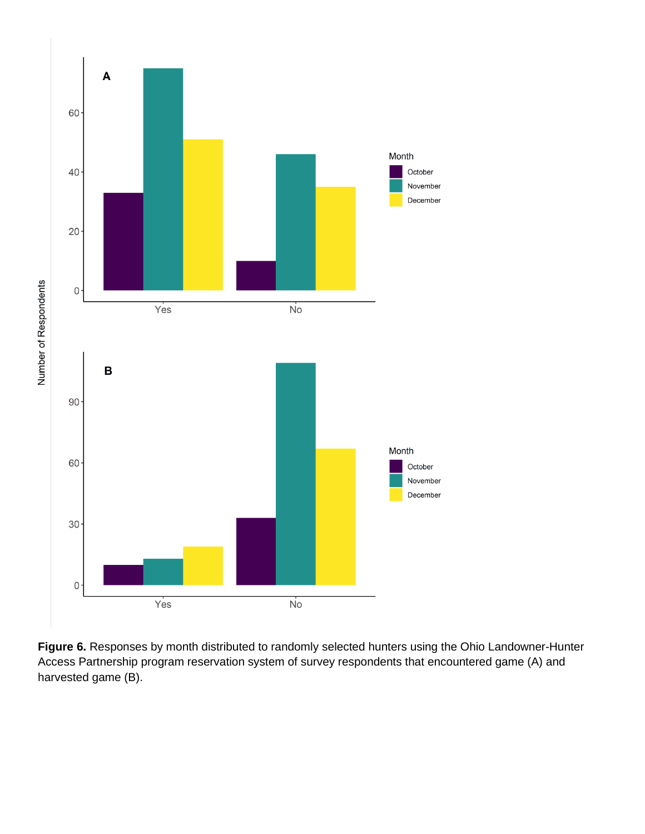

**Figure 6.** Responses by month distributed to randomly selected hunters using the Ohio Landowner-Hunter Access Partnership program reservation system of survey respondents that encountered game (A) and harvested game (B).

Number of Respondents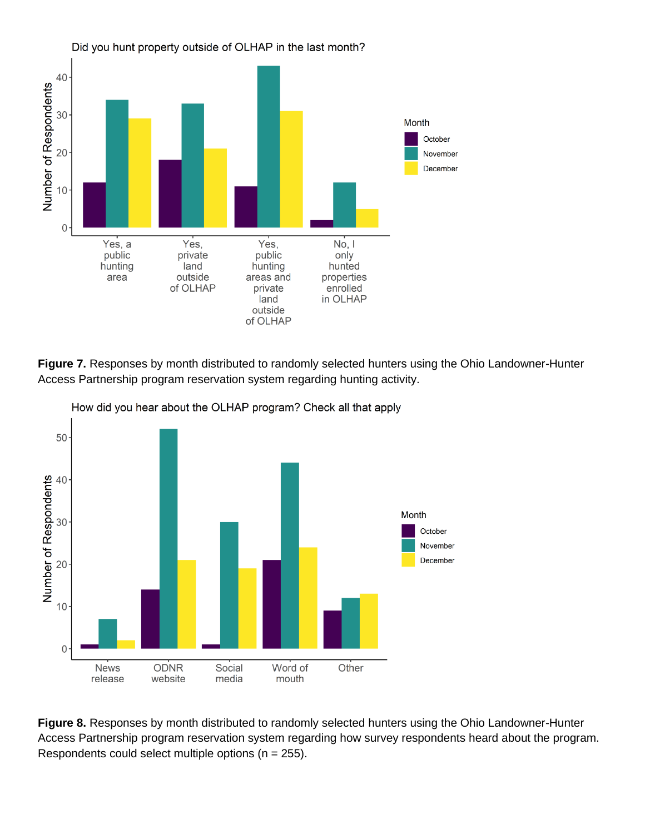

**Figure 7.** Responses by month distributed to randomly selected hunters using the Ohio Landowner-Hunter Access Partnership program reservation system regarding hunting activity.



How did you hear about the OLHAP program? Check all that apply

**Figure 8.** Responses by month distributed to randomly selected hunters using the Ohio Landowner-Hunter Access Partnership program reservation system regarding how survey respondents heard about the program. Respondents could select multiple options ( $n = 255$ ).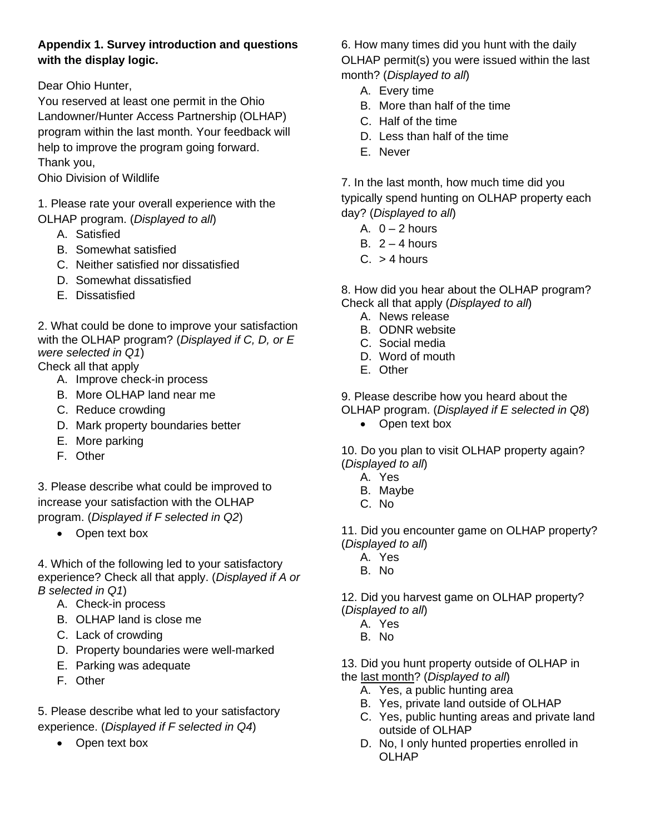### **Appendix 1. Survey introduction and questions with the display logic.**

Dear Ohio Hunter,

You reserved at least one permit in the Ohio Landowner/Hunter Access Partnership (OLHAP) program within the last month. Your feedback will help to improve the program going forward. Thank you,

Ohio Division of Wildlife

1. Please rate your overall experience with the OLHAP program. (*Displayed to all*)

- A. Satisfied
- B. Somewhat satisfied
- C. Neither satisfied nor dissatisfied
- D. Somewhat dissatisfied
- E. Dissatisfied

2. What could be done to improve your satisfaction with the OLHAP program? (*Displayed if C, D, or E were selected in Q1*) Check all that apply

- A. Improve check-in process
- B. More OLHAP land near me
- C. Reduce crowding
- D. Mark property boundaries better
- E. More parking
- F. Other

3. Please describe what could be improved to increase your satisfaction with the OLHAP program. (*Displayed if F selected in Q2*)

• Open text box

4. Which of the following led to your satisfactory experience? Check all that apply. (*Displayed if A or B selected in Q1*)

- A. Check-in process
- B. OLHAP land is close me
- C. Lack of crowding
- D. Property boundaries were well-marked
- E. Parking was adequate
- F. Other

5. Please describe what led to your satisfactory experience. (*Displayed if F selected in Q4*)

• Open text box

6. How many times did you hunt with the daily OLHAP permit(s) you were issued within the last month? (*Displayed to all*)

- A. Every time
- B. More than half of the time
- C. Half of the time
- D. Less than half of the time
- E. Never

7. In the last month, how much time did you typically spend hunting on OLHAP property each day? (*Displayed to all*)

- A.  $0 2$  hours
- B.  $2 4$  hours
- $C_{\alpha} > 4$  hours

8. How did you hear about the OLHAP program? Check all that apply (*Displayed to all*)

- A. News release
- B. ODNR website
- C. Social media
- D. Word of mouth
- E. Other

9. Please describe how you heard about the

OLHAP program. (*Displayed if E selected in Q8*)

• Open text box

10. Do you plan to visit OLHAP property again? (*Displayed to all*)

- A. Yes
- B. Maybe
- C. No

11. Did you encounter game on OLHAP property? (*Displayed to all*)

- A. Yes
- B. No
- 12. Did you harvest game on OLHAP property? (*Displayed to all*)
	- A. Yes
	- B. No
- 13. Did you hunt property outside of OLHAP in
- the last month? (*Displayed to all*)
	- A. Yes, a public hunting area
	- B. Yes, private land outside of OLHAP
	- C. Yes, public hunting areas and private land outside of OLHAP
	- D. No, I only hunted properties enrolled in OLHAP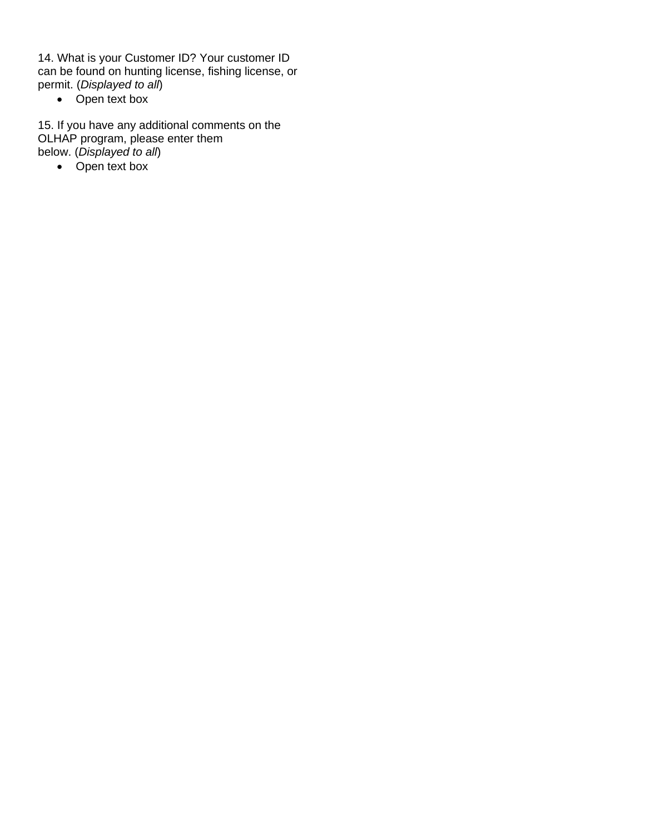14. What is your Customer ID? Your customer ID can be found on hunting license, fishing license, or permit. (*Displayed to all*)

• Open text box

15. If you have any additional comments on the OLHAP program, please enter them below. (*Displayed to all*)

• Open text box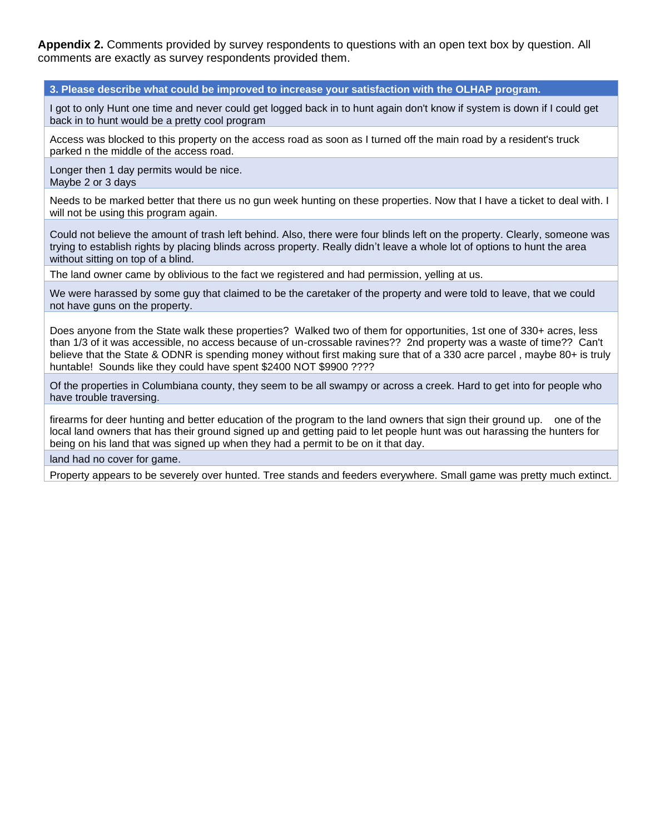**Appendix 2.** Comments provided by survey respondents to questions with an open text box by question. All comments are exactly as survey respondents provided them.

**3. Please describe what could be improved to increase your satisfaction with the OLHAP program.**

I got to only Hunt one time and never could get logged back in to hunt again don't know if system is down if I could get back in to hunt would be a pretty cool program

Access was blocked to this property on the access road as soon as I turned off the main road by a resident's truck parked n the middle of the access road.

Longer then 1 day permits would be nice. Maybe 2 or 3 days

Needs to be marked better that there us no gun week hunting on these properties. Now that I have a ticket to deal with. I will not be using this program again.

Could not believe the amount of trash left behind. Also, there were four blinds left on the property. Clearly, someone was trying to establish rights by placing blinds across property. Really didn't leave a whole lot of options to hunt the area without sitting on top of a blind.

The land owner came by oblivious to the fact we registered and had permission, yelling at us.

We were harassed by some guy that claimed to be the caretaker of the property and were told to leave, that we could not have guns on the property.

Does anyone from the State walk these properties? Walked two of them for opportunities, 1st one of 330+ acres, less than 1/3 of it was accessible, no access because of un-crossable ravines?? 2nd property was a waste of time?? Can't believe that the State & ODNR is spending money without first making sure that of a 330 acre parcel , maybe 80+ is truly huntable! Sounds like they could have spent \$2400 NOT \$9900 ????

Of the properties in Columbiana county, they seem to be all swampy or across a creek. Hard to get into for people who have trouble traversing.

firearms for deer hunting and better education of the program to the land owners that sign their ground up. one of the local land owners that has their ground signed up and getting paid to let people hunt was out harassing the hunters for being on his land that was signed up when they had a permit to be on it that day.

land had no cover for game.

Property appears to be severely over hunted. Tree stands and feeders everywhere. Small game was pretty much extinct.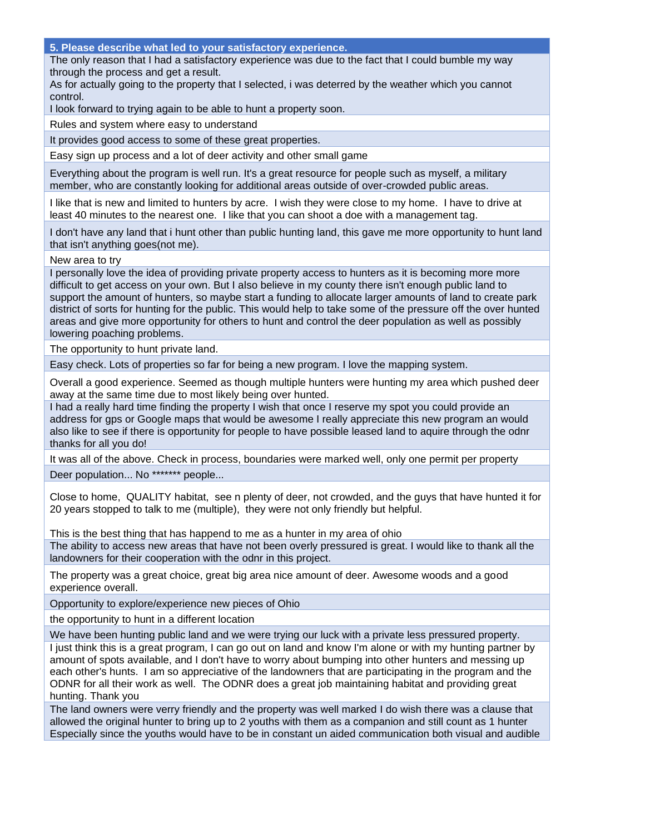#### **5. Please describe what led to your satisfactory experience.**

The only reason that I had a satisfactory experience was due to the fact that I could bumble my way through the process and get a result.

As for actually going to the property that I selected, i was deterred by the weather which you cannot control.

I look forward to trying again to be able to hunt a property soon.

Rules and system where easy to understand

It provides good access to some of these great properties.

Easy sign up process and a lot of deer activity and other small game

Everything about the program is well run. It's a great resource for people such as myself, a military member, who are constantly looking for additional areas outside of over-crowded public areas.

I like that is new and limited to hunters by acre. I wish they were close to my home. I have to drive at least 40 minutes to the nearest one. I like that you can shoot a doe with a management tag.

I don't have any land that i hunt other than public hunting land, this gave me more opportunity to hunt land that isn't anything goes(not me).

New area to try

I personally love the idea of providing private property access to hunters as it is becoming more more difficult to get access on your own. But I also believe in my county there isn't enough public land to support the amount of hunters, so maybe start a funding to allocate larger amounts of land to create park district of sorts for hunting for the public. This would help to take some of the pressure off the over hunted areas and give more opportunity for others to hunt and control the deer population as well as possibly lowering poaching problems.

The opportunity to hunt private land.

Easy check. Lots of properties so far for being a new program. I love the mapping system.

Overall a good experience. Seemed as though multiple hunters were hunting my area which pushed deer away at the same time due to most likely being over hunted.

I had a really hard time finding the property I wish that once I reserve my spot you could provide an address for gps or Google maps that would be awesome I really appreciate this new program an would also like to see if there is opportunity for people to have possible leased land to aquire through the odnr thanks for all you do!

It was all of the above. Check in process, boundaries were marked well, only one permit per property

Deer population... No \*\*\*\*\*\*\* people...

Close to home, QUALITY habitat, see n plenty of deer, not crowded, and the guys that have hunted it for 20 years stopped to talk to me (multiple), they were not only friendly but helpful.

This is the best thing that has happend to me as a hunter in my area of ohio

The ability to access new areas that have not been overly pressured is great. I would like to thank all the landowners for their cooperation with the odnr in this project.

The property was a great choice, great big area nice amount of deer. Awesome woods and a good experience overall.

Opportunity to explore/experience new pieces of Ohio

the opportunity to hunt in a different location

We have been hunting public land and we were trying our luck with a private less pressured property. I just think this is a great program, I can go out on land and know I'm alone or with my hunting partner by amount of spots available, and I don't have to worry about bumping into other hunters and messing up each other's hunts. I am so appreciative of the landowners that are participating in the program and the ODNR for all their work as well. The ODNR does a great job maintaining habitat and providing great hunting. Thank you

The land owners were verry friendly and the property was well marked I do wish there was a clause that allowed the original hunter to bring up to 2 youths with them as a companion and still count as 1 hunter Especially since the youths would have to be in constant un aided communication both visual and audible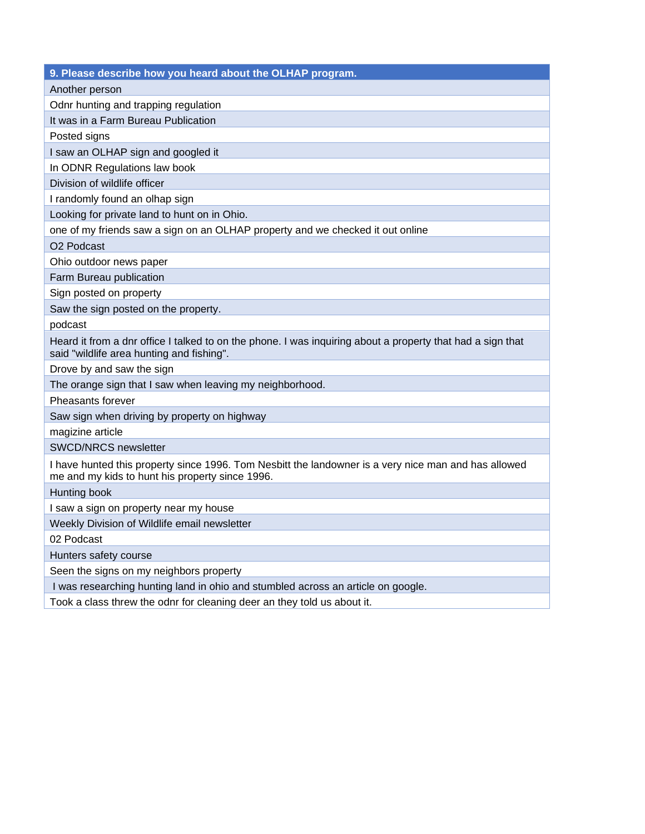| 9. Please describe how you heard about the OLHAP program.                                                                                               |  |  |  |  |
|---------------------------------------------------------------------------------------------------------------------------------------------------------|--|--|--|--|
| Another person                                                                                                                                          |  |  |  |  |
| Odnr hunting and trapping regulation                                                                                                                    |  |  |  |  |
| It was in a Farm Bureau Publication                                                                                                                     |  |  |  |  |
| Posted signs                                                                                                                                            |  |  |  |  |
| I saw an OLHAP sign and googled it                                                                                                                      |  |  |  |  |
| In ODNR Regulations law book                                                                                                                            |  |  |  |  |
| Division of wildlife officer                                                                                                                            |  |  |  |  |
| I randomly found an olhap sign                                                                                                                          |  |  |  |  |
| Looking for private land to hunt on in Ohio.                                                                                                            |  |  |  |  |
| one of my friends saw a sign on an OLHAP property and we checked it out online                                                                          |  |  |  |  |
| O <sub>2</sub> Podcast                                                                                                                                  |  |  |  |  |
| Ohio outdoor news paper                                                                                                                                 |  |  |  |  |
| Farm Bureau publication                                                                                                                                 |  |  |  |  |
| Sign posted on property                                                                                                                                 |  |  |  |  |
| Saw the sign posted on the property.                                                                                                                    |  |  |  |  |
| podcast                                                                                                                                                 |  |  |  |  |
| Heard it from a dnr office I talked to on the phone. I was inquiring about a property that had a sign that<br>said "wildlife area hunting and fishing". |  |  |  |  |
| Drove by and saw the sign                                                                                                                               |  |  |  |  |
| The orange sign that I saw when leaving my neighborhood.                                                                                                |  |  |  |  |
| Pheasants forever                                                                                                                                       |  |  |  |  |
| Saw sign when driving by property on highway                                                                                                            |  |  |  |  |
| magizine article                                                                                                                                        |  |  |  |  |
| <b>SWCD/NRCS newsletter</b>                                                                                                                             |  |  |  |  |
| I have hunted this property since 1996. Tom Nesbitt the landowner is a very nice man and has allowed<br>me and my kids to hunt his property since 1996. |  |  |  |  |
| Hunting book                                                                                                                                            |  |  |  |  |
| I saw a sign on property near my house                                                                                                                  |  |  |  |  |
| Weekly Division of Wildlife email newsletter                                                                                                            |  |  |  |  |
| 02 Podcast                                                                                                                                              |  |  |  |  |
| Hunters safety course                                                                                                                                   |  |  |  |  |
| Seen the signs on my neighbors property                                                                                                                 |  |  |  |  |
| I was researching hunting land in ohio and stumbled across an article on google.                                                                        |  |  |  |  |
| Took a class threw the odnr for cleaning deer an they told us about it.                                                                                 |  |  |  |  |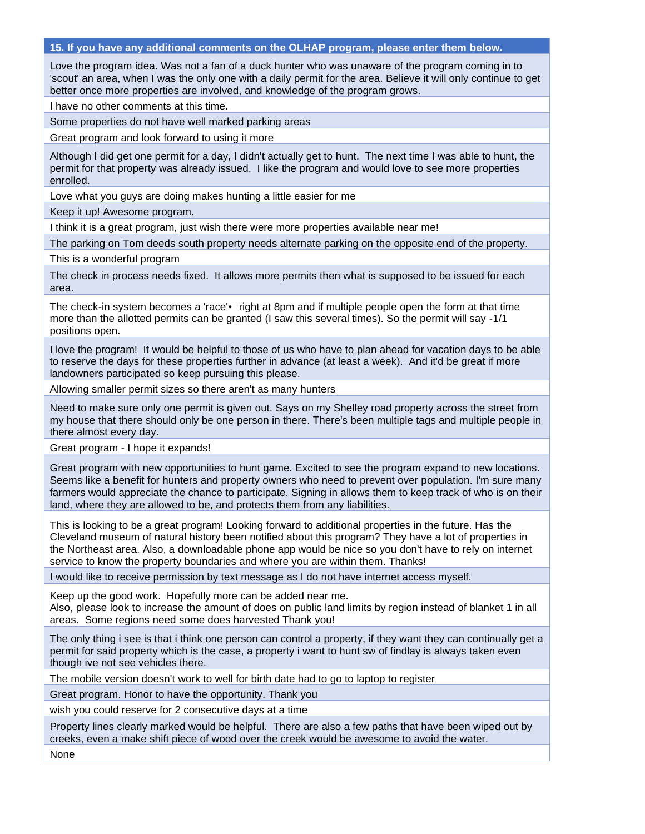#### **15. If you have any additional comments on the OLHAP program, please enter them below.**

Love the program idea. Was not a fan of a duck hunter who was unaware of the program coming in to 'scout' an area, when I was the only one with a daily permit for the area. Believe it will only continue to get better once more properties are involved, and knowledge of the program grows.

I have no other comments at this time.

Some properties do not have well marked parking areas

Great program and look forward to using it more

Although I did get one permit for a day, I didn't actually get to hunt. The next time I was able to hunt, the permit for that property was already issued. I like the program and would love to see more properties enrolled.

Love what you guys are doing makes hunting a little easier for me

Keep it up! Awesome program.

I think it is a great program, just wish there were more properties available near me!

The parking on Tom deeds south property needs alternate parking on the opposite end of the property.

This is a wonderful program

The check in process needs fixed. It allows more permits then what is supposed to be issued for each area.

The check-in system becomes a 'race'• right at 8pm and if multiple people open the form at that time more than the allotted permits can be granted (I saw this several times). So the permit will say -1/1 positions open.

I love the program! It would be helpful to those of us who have to plan ahead for vacation days to be able to reserve the days for these properties further in advance (at least a week). And it'd be great if more landowners participated so keep pursuing this please.

Allowing smaller permit sizes so there aren't as many hunters

Need to make sure only one permit is given out. Says on my Shelley road property across the street from my house that there should only be one person in there. There's been multiple tags and multiple people in there almost every day.

Great program - I hope it expands!

Great program with new opportunities to hunt game. Excited to see the program expand to new locations. Seems like a benefit for hunters and property owners who need to prevent over population. I'm sure many farmers would appreciate the chance to participate. Signing in allows them to keep track of who is on their land, where they are allowed to be, and protects them from any liabilities.

This is looking to be a great program! Looking forward to additional properties in the future. Has the Cleveland museum of natural history been notified about this program? They have a lot of properties in the Northeast area. Also, a downloadable phone app would be nice so you don't have to rely on internet service to know the property boundaries and where you are within them. Thanks!

I would like to receive permission by text message as I do not have internet access myself.

Keep up the good work. Hopefully more can be added near me.

Also, please look to increase the amount of does on public land limits by region instead of blanket 1 in all areas. Some regions need some does harvested Thank you!

The only thing i see is that i think one person can control a property, if they want they can continually get a permit for said property which is the case, a property i want to hunt sw of findlay is always taken even though ive not see vehicles there.

The mobile version doesn't work to well for birth date had to go to laptop to register

Great program. Honor to have the opportunity. Thank you

wish you could reserve for 2 consecutive days at a time

Property lines clearly marked would be helpful. There are also a few paths that have been wiped out by creeks, even a make shift piece of wood over the creek would be awesome to avoid the water. None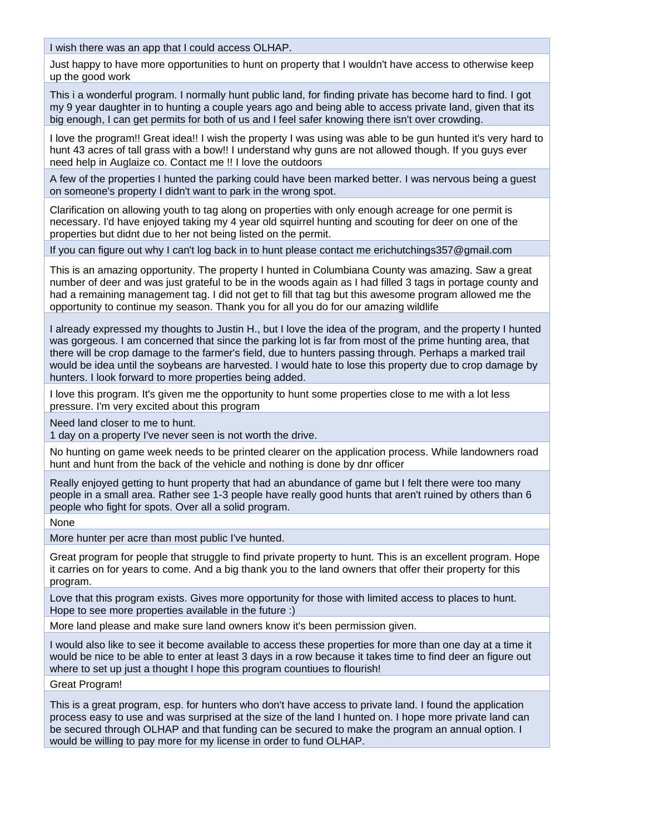I wish there was an app that I could access OLHAP.

Just happy to have more opportunities to hunt on property that I wouldn't have access to otherwise keep up the good work

This i a wonderful program. I normally hunt public land, for finding private has become hard to find. I got my 9 year daughter in to hunting a couple years ago and being able to access private land, given that its big enough, I can get permits for both of us and I feel safer knowing there isn't over crowding.

I love the program!! Great idea!! I wish the property I was using was able to be gun hunted it's very hard to hunt 43 acres of tall grass with a bow!! I understand why guns are not allowed though. If you guys ever need help in Auglaize co. Contact me !! I love the outdoors

A few of the properties I hunted the parking could have been marked better. I was nervous being a guest on someone's property I didn't want to park in the wrong spot.

Clarification on allowing youth to tag along on properties with only enough acreage for one permit is necessary. I'd have enjoyed taking my 4 year old squirrel hunting and scouting for deer on one of the properties but didnt due to her not being listed on the permit.

If you can figure out why I can't log back in to hunt please contact me erichutchings357@gmail.com

This is an amazing opportunity. The property I hunted in Columbiana County was amazing. Saw a great number of deer and was just grateful to be in the woods again as I had filled 3 tags in portage county and had a remaining management tag. I did not get to fill that tag but this awesome program allowed me the opportunity to continue my season. Thank you for all you do for our amazing wildlife

I already expressed my thoughts to Justin H., but I love the idea of the program, and the property I hunted was gorgeous. I am concerned that since the parking lot is far from most of the prime hunting area, that there will be crop damage to the farmer's field, due to hunters passing through. Perhaps a marked trail would be idea until the soybeans are harvested. I would hate to lose this property due to crop damage by hunters. I look forward to more properties being added.

I love this program. It's given me the opportunity to hunt some properties close to me with a lot less pressure. I'm very excited about this program

Need land closer to me to hunt.

1 day on a property I've never seen is not worth the drive.

No hunting on game week needs to be printed clearer on the application process. While landowners road hunt and hunt from the back of the vehicle and nothing is done by dnr officer

Really enjoyed getting to hunt property that had an abundance of game but I felt there were too many people in a small area. Rather see 1-3 people have really good hunts that aren't ruined by others than 6 people who fight for spots. Over all a solid program.

None

More hunter per acre than most public I've hunted.

Great program for people that struggle to find private property to hunt. This is an excellent program. Hope it carries on for years to come. And a big thank you to the land owners that offer their property for this program.

Love that this program exists. Gives more opportunity for those with limited access to places to hunt. Hope to see more properties available in the future :)

More land please and make sure land owners know it's been permission given.

I would also like to see it become available to access these properties for more than one day at a time it would be nice to be able to enter at least 3 days in a row because it takes time to find deer an figure out where to set up just a thought I hope this program countiues to flourish!

#### Great Program!

This is a great program, esp. for hunters who don't have access to private land. I found the application process easy to use and was surprised at the size of the land I hunted on. I hope more private land can be secured through OLHAP and that funding can be secured to make the program an annual option. I would be willing to pay more for my license in order to fund OLHAP.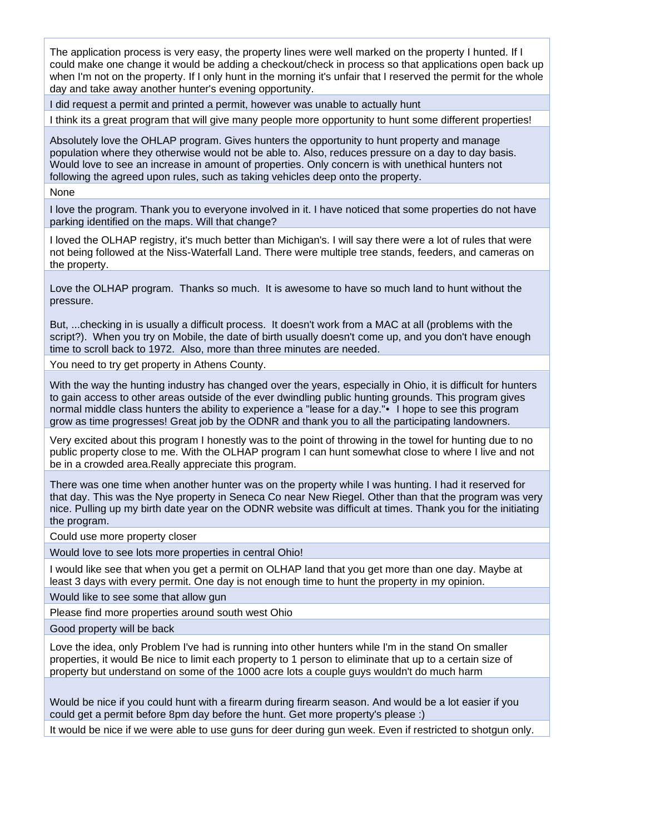The application process is very easy, the property lines were well marked on the property I hunted. If I could make one change it would be adding a checkout/check in process so that applications open back up when I'm not on the property. If I only hunt in the morning it's unfair that I reserved the permit for the whole day and take away another hunter's evening opportunity.

I did request a permit and printed a permit, however was unable to actually hunt

I think its a great program that will give many people more opportunity to hunt some different properties!

Absolutely love the OHLAP program. Gives hunters the opportunity to hunt property and manage population where they otherwise would not be able to. Also, reduces pressure on a day to day basis. Would love to see an increase in amount of properties. Only concern is with unethical hunters not following the agreed upon rules, such as taking vehicles deep onto the property.

None

I love the program. Thank you to everyone involved in it. I have noticed that some properties do not have parking identified on the maps. Will that change?

I loved the OLHAP registry, it's much better than Michigan's. I will say there were a lot of rules that were not being followed at the Niss-Waterfall Land. There were multiple tree stands, feeders, and cameras on the property.

Love the OLHAP program. Thanks so much. It is awesome to have so much land to hunt without the pressure.

But, ...checking in is usually a difficult process. It doesn't work from a MAC at all (problems with the script?). When you try on Mobile, the date of birth usually doesn't come up, and you don't have enough time to scroll back to 1972. Also, more than three minutes are needed.

You need to try get property in Athens County.

With the way the hunting industry has changed over the years, especially in Ohio, it is difficult for hunters to gain access to other areas outside of the ever dwindling public hunting grounds. This program gives normal middle class hunters the ability to experience a "lease for a day."• I hope to see this program grow as time progresses! Great job by the ODNR and thank you to all the participating landowners.

Very excited about this program I honestly was to the point of throwing in the towel for hunting due to no public property close to me. With the OLHAP program I can hunt somewhat close to where I live and not be in a crowded area.Really appreciate this program.

There was one time when another hunter was on the property while I was hunting. I had it reserved for that day. This was the Nye property in Seneca Co near New Riegel. Other than that the program was very nice. Pulling up my birth date year on the ODNR website was difficult at times. Thank you for the initiating the program.

Could use more property closer

Would love to see lots more properties in central Ohio!

I would like see that when you get a permit on OLHAP land that you get more than one day. Maybe at least 3 days with every permit. One day is not enough time to hunt the property in my opinion.

Would like to see some that allow gun

Please find more properties around south west Ohio

Good property will be back

Love the idea, only Problem I've had is running into other hunters while I'm in the stand On smaller properties, it would Be nice to limit each property to 1 person to eliminate that up to a certain size of property but understand on some of the 1000 acre lots a couple guys wouldn't do much harm

Would be nice if you could hunt with a firearm during firearm season. And would be a lot easier if you could get a permit before 8pm day before the hunt. Get more property's please :)

It would be nice if we were able to use guns for deer during gun week. Even if restricted to shotgun only.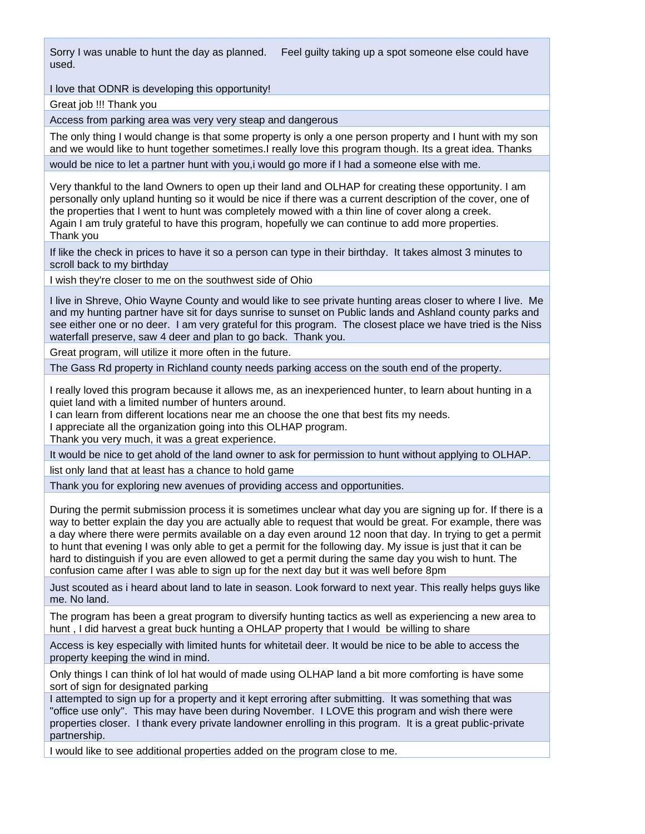Sorry I was unable to hunt the day as planned. Feel guilty taking up a spot someone else could have used.

I love that ODNR is developing this opportunity!

Great job !!! Thank you

Access from parking area was very very steap and dangerous

The only thing I would change is that some property is only a one person property and I hunt with my son and we would like to hunt together sometimes.I really love this program though. Its a great idea. Thanks

would be nice to let a partner hunt with you,i would go more if I had a someone else with me.

Very thankful to the land Owners to open up their land and OLHAP for creating these opportunity. I am personally only upland hunting so it would be nice if there was a current description of the cover, one of the properties that I went to hunt was completely mowed with a thin line of cover along a creek. Again I am truly grateful to have this program, hopefully we can continue to add more properties. Thank you

If like the check in prices to have it so a person can type in their birthday. It takes almost 3 minutes to scroll back to my birthday

I wish they're closer to me on the southwest side of Ohio

I live in Shreve, Ohio Wayne County and would like to see private hunting areas closer to where I live. Me and my hunting partner have sit for days sunrise to sunset on Public lands and Ashland county parks and see either one or no deer. I am very grateful for this program. The closest place we have tried is the Niss waterfall preserve, saw 4 deer and plan to go back. Thank you.

Great program, will utilize it more often in the future.

The Gass Rd property in Richland county needs parking access on the south end of the property.

I really loved this program because it allows me, as an inexperienced hunter, to learn about hunting in a quiet land with a limited number of hunters around.

I can learn from different locations near me an choose the one that best fits my needs.

I appreciate all the organization going into this OLHAP program.

Thank you very much, it was a great experience.

It would be nice to get ahold of the land owner to ask for permission to hunt without applying to OLHAP.

list only land that at least has a chance to hold game

Thank you for exploring new avenues of providing access and opportunities.

During the permit submission process it is sometimes unclear what day you are signing up for. If there is a way to better explain the day you are actually able to request that would be great. For example, there was a day where there were permits available on a day even around 12 noon that day. In trying to get a permit to hunt that evening I was only able to get a permit for the following day. My issue is just that it can be hard to distinguish if you are even allowed to get a permit during the same day you wish to hunt. The confusion came after I was able to sign up for the next day but it was well before 8pm

Just scouted as i heard about land to late in season. Look forward to next year. This really helps guys like me. No land.

The program has been a great program to diversify hunting tactics as well as experiencing a new area to hunt , I did harvest a great buck hunting a OHLAP property that I would be willing to share

Access is key especially with limited hunts for whitetail deer. It would be nice to be able to access the property keeping the wind in mind.

Only things I can think of lol hat would of made using OLHAP land a bit more comforting is have some sort of sign for designated parking

I attempted to sign up for a property and it kept erroring after submitting. It was something that was "office use only". This may have been during November. I LOVE this program and wish there were properties closer. I thank every private landowner enrolling in this program. It is a great public-private partnership.

I would like to see additional properties added on the program close to me.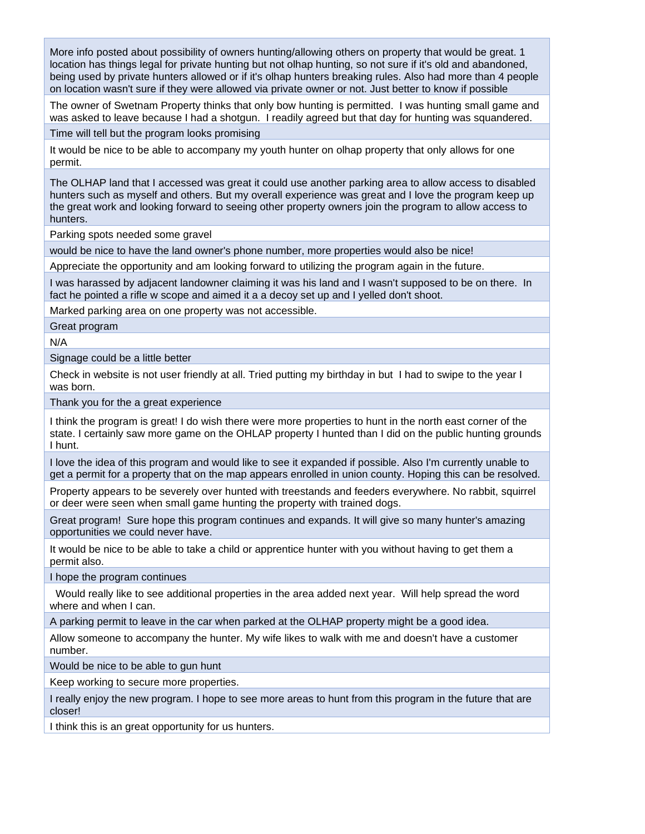More info posted about possibility of owners hunting/allowing others on property that would be great. 1 location has things legal for private hunting but not olhap hunting, so not sure if it's old and abandoned, being used by private hunters allowed or if it's olhap hunters breaking rules. Also had more than 4 people on location wasn't sure if they were allowed via private owner or not. Just better to know if possible

The owner of Swetnam Property thinks that only bow hunting is permitted. I was hunting small game and was asked to leave because I had a shotgun. I readily agreed but that day for hunting was squandered.

Time will tell but the program looks promising

It would be nice to be able to accompany my youth hunter on olhap property that only allows for one permit.

The OLHAP land that I accessed was great it could use another parking area to allow access to disabled hunters such as myself and others. But my overall experience was great and I love the program keep up the great work and looking forward to seeing other property owners join the program to allow access to hunters.

Parking spots needed some gravel

would be nice to have the land owner's phone number, more properties would also be nice!

Appreciate the opportunity and am looking forward to utilizing the program again in the future.

I was harassed by adjacent landowner claiming it was his land and I wasn't supposed to be on there. In fact he pointed a rifle w scope and aimed it a a decoy set up and I yelled don't shoot.

Marked parking area on one property was not accessible.

Great program

N/A

Signage could be a little better

Check in website is not user friendly at all. Tried putting my birthday in but I had to swipe to the year I was born.

Thank you for the a great experience

I think the program is great! I do wish there were more properties to hunt in the north east corner of the state. I certainly saw more game on the OHLAP property I hunted than I did on the public hunting grounds I hunt.

I love the idea of this program and would like to see it expanded if possible. Also I'm currently unable to get a permit for a property that on the map appears enrolled in union county. Hoping this can be resolved.

Property appears to be severely over hunted with treestands and feeders everywhere. No rabbit, squirrel or deer were seen when small game hunting the property with trained dogs.

Great program! Sure hope this program continues and expands. It will give so many hunter's amazing opportunities we could never have.

It would be nice to be able to take a child or apprentice hunter with you without having to get them a permit also.

I hope the program continues

 Would really like to see additional properties in the area added next year. Will help spread the word where and when I can.

A parking permit to leave in the car when parked at the OLHAP property might be a good idea.

Allow someone to accompany the hunter. My wife likes to walk with me and doesn't have a customer number.

Would be nice to be able to gun hunt

Keep working to secure more properties.

I really enjoy the new program. I hope to see more areas to hunt from this program in the future that are closer!

I think this is an great opportunity for us hunters.